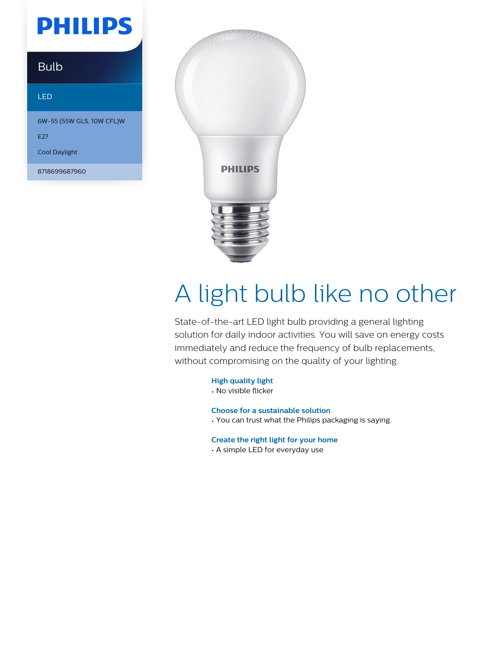## **PHILIPS**

### Bulb

#### LED

6W-55 (55W GLS, 10W CFL)W

E<sub>27</sub>

Cool Daylight

8718699687960



# A light bulb like no other

State-of-the-art LED light bulb providing a general lighting solution for daily indoor activities. You will save on energy costs immediately and reduce the frequency of bulb replacements, without compromising on the quality of your lighting.

**High quality light**

• No visible flicker

**Choose for a sustainable solution**

• You can trust what the Philips packaging is saying.

**Create the right light for your home**

• A simple LED for everyday use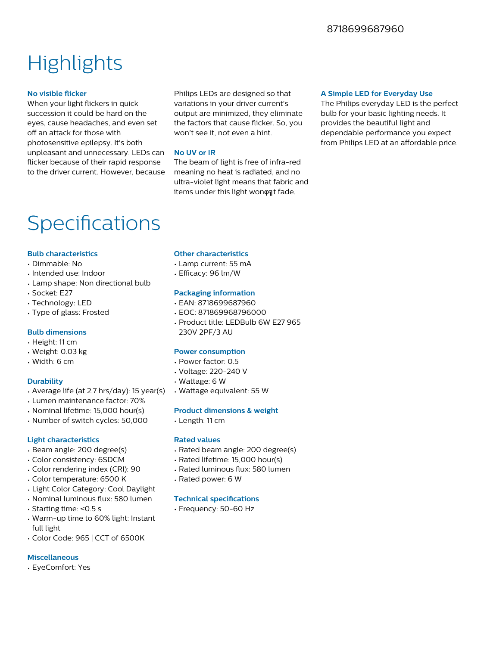### **Highlights**

#### **No visible flicker**

When your light flickers in quick succession it could be hard on the eyes, cause headaches, and even set off an attack for those with photosensitive epilepsy. It's both unpleasant and unnecessary. LEDs can flicker because of their rapid response to the driver current. However, because

Philips LEDs are designed so that variations in your driver current's output are minimized, they eliminate the factors that cause flicker. So, you won't see it, not even a hint.

#### **No UV or IR**

The beam of light is free of infra-red meaning no heat is radiated, and no ultra-violet light means that fabric and items under this light wonφηt fade.

#### **A Simple LED for Everyday Use**

The Philips everyday LED is the perfect bulb for your basic lighting needs. It provides the beautiful light and dependable performance you expect from Philips LED at an affordable price.

### Specifications

#### **Bulb characteristics**

- Dimmable: No
- Intended use: Indoor
- Lamp shape: Non directional bulb
- Socket: E27
- Technology: LED
- Type of glass: Frosted

#### **Bulb dimensions**

- Height: 11 cm
- Weight: 0.03 kg
- Width: 6 cm

#### **Durability**

- Average life (at 2.7 hrs/day): 15 year(s)
- Lumen maintenance factor: 70%
- Nominal lifetime: 15,000 hour(s)
- Number of switch cycles: 50,000

#### **Light characteristics**

- Beam angle: 200 degree(s)
- Color consistency: 6SDCM
- Color rendering index (CRI): 90
- Color temperature: 6500 K
- Light Color Category: Cool Daylight
- Nominal luminous flux: 580 lumen
- Starting time: <0.5 s
- Warm-up time to 60% light: Instant full light
- Color Code: 965 | CCT of 6500K

#### **Miscellaneous**

• EyeComfort: Yes

#### **Other characteristics**

- Lamp current: 55 mA
- $\cdot$  Efficacy: 96 lm/W

#### **Packaging information**

- EAN: 8718699687960
- EOC: 871869968796000
- Product title: LEDBulb 6W E27 965 230V 2PF/3 AU

#### **Power consumption**

- Power factor: 0.5
- Voltage: 220-240 V
- Wattage: 6 W
- Wattage equivalent: 55 W

#### **Product dimensions & weight**

• Length: 11 cm

#### **Rated values**

- Rated beam angle: 200 degree(s)
- Rated lifetime: 15,000 hour(s)
- Rated luminous flux: 580 lumen
- Rated power: 6 W

#### **Technical specifications**

• Frequency: 50-60 Hz